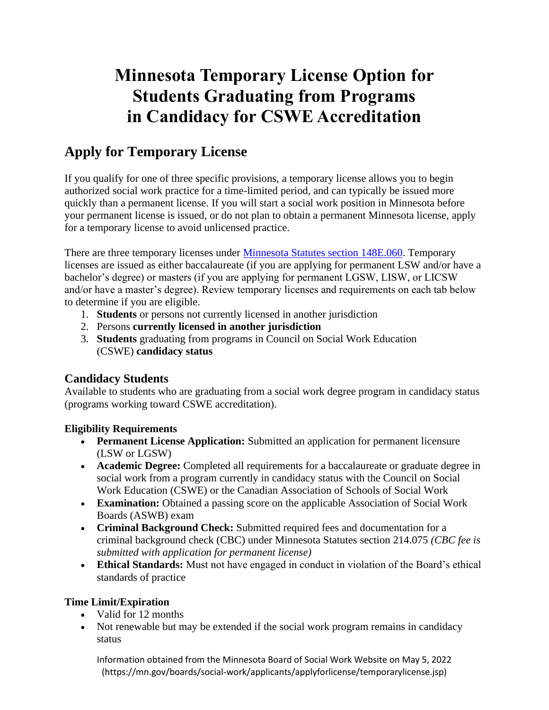# **Minnesota Temporary License Option for Students Graduating from Programs in Candidacy for CSWE Accreditation**

# **Apply for Temporary License**

If you qualify for one of three specific provisions, a temporary license allows you to begin authorized social work practice for a time-limited period, and can typically be issued more quickly than a permanent license. If you will start a social work position in Minnesota before your permanent license is issued, or do not plan to obtain a permanent Minnesota license, apply for a temporary license to avoid unlicensed practice.

There are three temporary licenses under [Minnesota Statutes section 148E.060.](https://www.revisor.mn.gov/statutes/cite/148E.060) Temporary licenses are issued as either baccalaureate (if you are applying for permanent LSW and/or have a bachelor's degree) or masters (if you are applying for permanent LGSW, LISW, or LICSW and/or have a master's degree). Review temporary licenses and requirements on each tab below to determine if you are eligible.

- 1. **Students** or persons not currently licensed in another jurisdiction
- 2. Persons **currently licensed in another jurisdiction**
- 3. **Students** graduating from programs in Council on Social Work Education (CSWE) **candidacy status**

## **Candidacy Students**

Available to students who are graduating from a social work degree program in candidacy status (programs working toward CSWE accreditation).

### **Eligibility Requirements**

- **Permanent License Application:** Submitted an application for permanent licensure (LSW or LGSW)
- **Academic Degree:** Completed all requirements for a baccalaureate or graduate degree in social work from a program currently in candidacy status with the Council on Social Work Education (CSWE) or the Canadian Association of Schools of Social Work
- **Examination:** Obtained a passing score on the applicable Association of Social Work Boards (ASWB) exam
- **Criminal Background Check:** Submitted required fees and documentation for a criminal background check (CBC) under Minnesota Statutes section 214.075 *(CBC fee is submitted with application for permanent license)*
- **Ethical Standards:** Must not have engaged in conduct in violation of the Board's ethical standards of practice

### **Time Limit/Expiration**

- Valid for 12 months
- Not renewable but may be extended if the social work program remains in candidacy status

Information obtained from the Minnesota Board of Social Work Website on May 5, 2022 (https://mn.gov/boards/social-work/applicants/applyforlicense/temporarylicense.jsp)